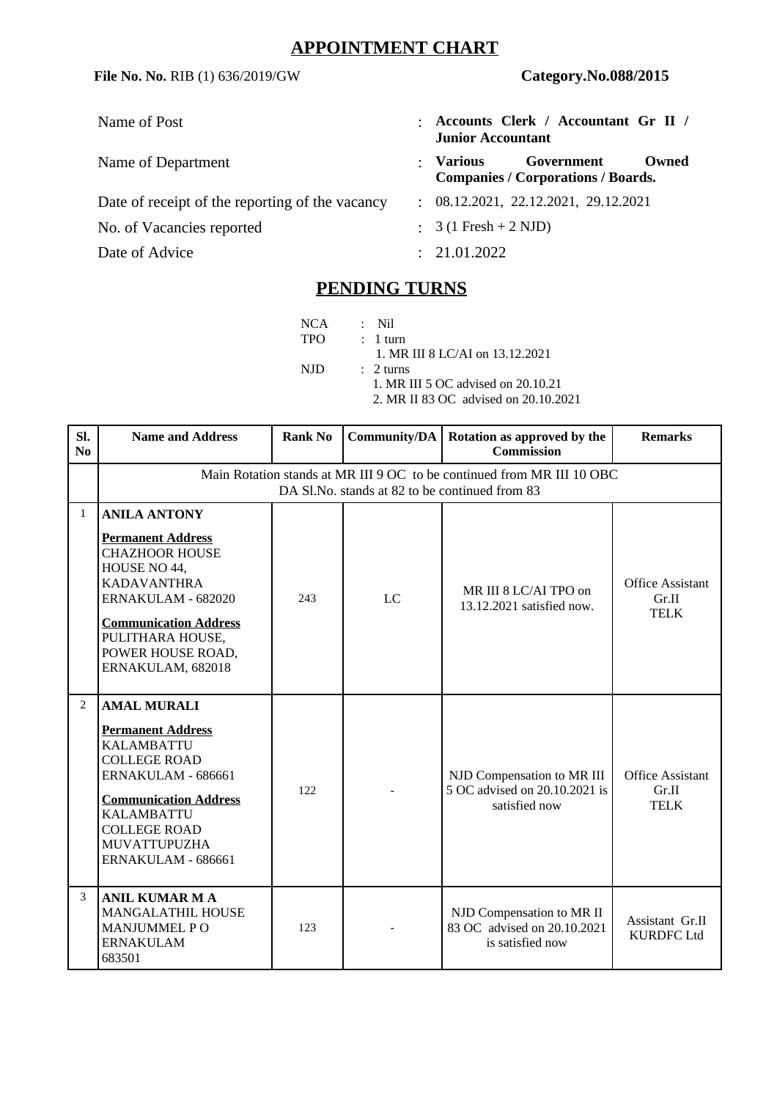## **APPOINTMENT CHART**

**File No. No.** RIB (1) 636/2019/GW **Category.No.088/2015**

Date of receipt of the reporting of the vacancy : 08.12.2021, 22.12.2021, 29.12.2021

No. of Vacancies reported : 3 (1 Fresh + 2 NJD)

Date of Advice : 21.01.2022

- Name of Post : **Accounts Clerk / Accountant Gr II / Junior Accountant**
- Name of Department **1988 Construction Construction Constraint Construction Construction Construction Construction Construction Construction Construction Construction Construction Construction Construction Construction Co Companies / Corporations / Boards.**
	-
	-
	-

## **PENDING TURNS**

NCA : Nil TPO : 1 turn 1. MR III 8 LC/AI on 13.12.2021<br>NJD : 2 turns  $: 2 turns$  1. MR III 5 OC advised on 20.10.21 2. MR II 83 OC advised on 20.10.2021

| SI.<br>N <sub>0</sub> | <b>Name and Address</b>                                                                                                                                                                                                                   | <b>Rank No</b> | Community/DA | Rotation as approved by the<br><b>Commission</b>                             | <b>Remarks</b>                                  |  |  |  |  |
|-----------------------|-------------------------------------------------------------------------------------------------------------------------------------------------------------------------------------------------------------------------------------------|----------------|--------------|------------------------------------------------------------------------------|-------------------------------------------------|--|--|--|--|
|                       | Main Rotation stands at MR III 9 OC to be continued from MR III 10 OBC<br>DA Sl.No. stands at 82 to be continued from 83                                                                                                                  |                |              |                                                                              |                                                 |  |  |  |  |
| $\mathbf{1}$          | <b>ANILA ANTONY</b><br><b>Permanent Address</b><br><b>CHAZHOOR HOUSE</b><br>HOUSE NO 44,<br><b>KADAVANTHRA</b><br>ERNAKULAM - 682020<br><b>Communication Address</b><br>PULITHARA HOUSE,<br>POWER HOUSE ROAD,<br>ERNAKULAM, 682018        | 243            | <b>LC</b>    | MR III 8 LC/AI TPO on<br>13.12.2021 satisfied now.                           | <b>Office Assistant</b><br>Gr.II<br><b>TELK</b> |  |  |  |  |
| $\overline{2}$        | <b>AMAL MURALI</b><br><b>Permanent Address</b><br><b>KALAMBATTU</b><br><b>COLLEGE ROAD</b><br>ERNAKULAM - 686661<br><b>Communication Address</b><br><b>KALAMBATTU</b><br><b>COLLEGE ROAD</b><br><b>MUVATTUPUZHA</b><br>ERNAKULAM - 686661 | 122            |              | NJD Compensation to MR III<br>5 OC advised on 20.10.2021 is<br>satisfied now | <b>Office Assistant</b><br>Gr.II<br><b>TELK</b> |  |  |  |  |
| 3                     | <b>ANIL KUMAR M A</b><br><b>MANGALATHIL HOUSE</b><br><b>MANJUMMEL PO</b><br><b>ERNAKULAM</b><br>683501                                                                                                                                    | 123            |              | NJD Compensation to MR II<br>83 OC advised on 20.10.2021<br>is satisfied now | Assistant Gr.II<br><b>KURDFC Ltd</b>            |  |  |  |  |